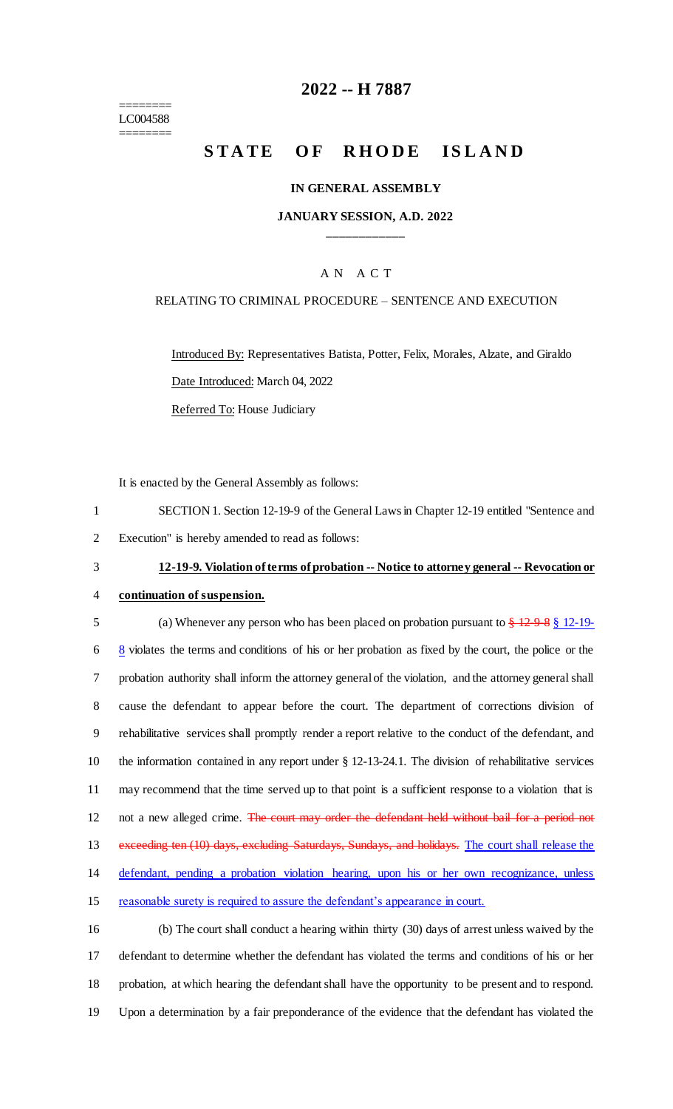======== LC004588 ========

# **2022 -- H 7887**

# **STATE OF RHODE ISLAND**

## **IN GENERAL ASSEMBLY**

# **JANUARY SESSION, A.D. 2022 \_\_\_\_\_\_\_\_\_\_\_\_**

## A N A C T

## RELATING TO CRIMINAL PROCEDURE – SENTENCE AND EXECUTION

Introduced By: Representatives Batista, Potter, Felix, Morales, Alzate, and Giraldo Date Introduced: March 04, 2022 Referred To: House Judiciary

It is enacted by the General Assembly as follows:

1 SECTION 1. Section 12-19-9 of the General Laws in Chapter 12-19 entitled "Sentence and 2 Execution" is hereby amended to read as follows:

## 3 **12-19-9. Violation of terms of probation -- Notice to attorney general -- Revocation or**

4 **continuation of suspension.**

5 (a) Whenever any person who has been placed on probation pursuant to  $\frac{12988}{12-19}$  $\frac{8}{3}$  violates the terms and conditions of his or her probation as fixed by the court, the police or the probation authority shall inform the attorney general of the violation, and the attorney general shall cause the defendant to appear before the court. The department of corrections division of rehabilitative services shall promptly render a report relative to the conduct of the defendant, and the information contained in any report under § 12-13-24.1. The division of rehabilitative services may recommend that the time served up to that point is a sufficient response to a violation that is 12 not a new alleged crime. The court may order the defendant held without bail for a period not 13 exceeding ten (10) days, excluding Saturdays, Sundays, and holidays. The court shall release the defendant, pending a probation violation hearing, upon his or her own recognizance, unless reasonable surety is required to assure the defendant's appearance in court.

 (b) The court shall conduct a hearing within thirty (30) days of arrest unless waived by the defendant to determine whether the defendant has violated the terms and conditions of his or her probation, at which hearing the defendant shall have the opportunity to be present and to respond. Upon a determination by a fair preponderance of the evidence that the defendant has violated the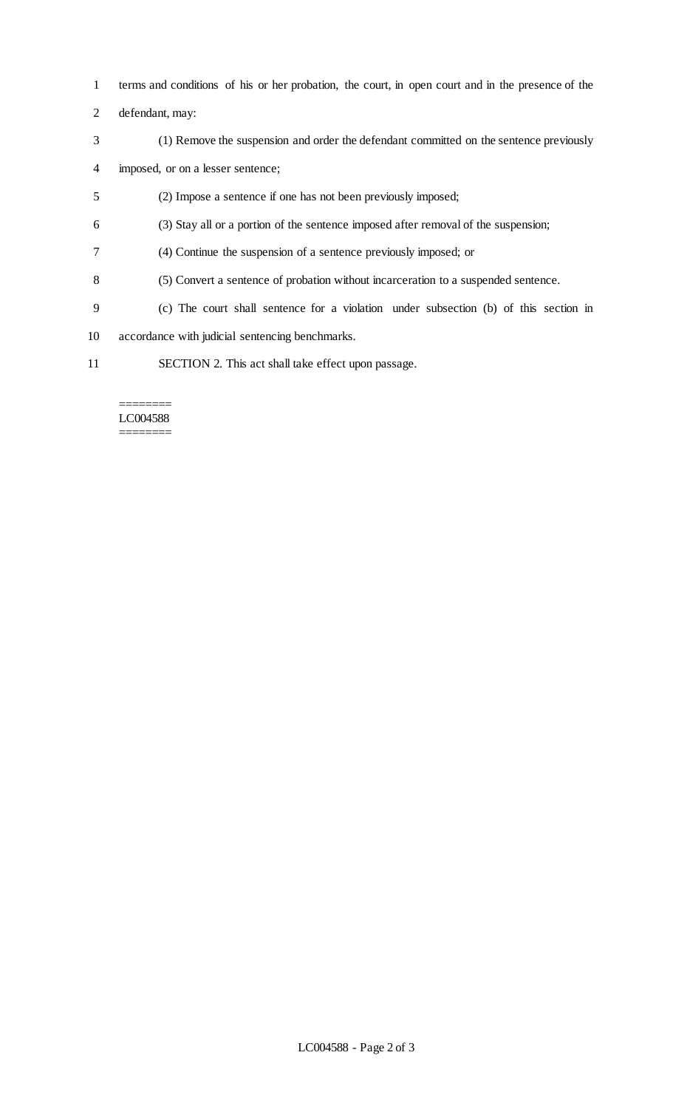- terms and conditions of his or her probation, the court, in open court and in the presence of the
- defendant, may:
- (1) Remove the suspension and order the defendant committed on the sentence previously
- imposed, or on a lesser sentence;
- (2) Impose a sentence if one has not been previously imposed;
- (3) Stay all or a portion of the sentence imposed after removal of the suspension;
- (4) Continue the suspension of a sentence previously imposed; or
- (5) Convert a sentence of probation without incarceration to a suspended sentence.
- (c) The court shall sentence for a violation under subsection (b) of this section in
- accordance with judicial sentencing benchmarks.
- SECTION 2. This act shall take effect upon passage.

#### ======== LC004588 ========